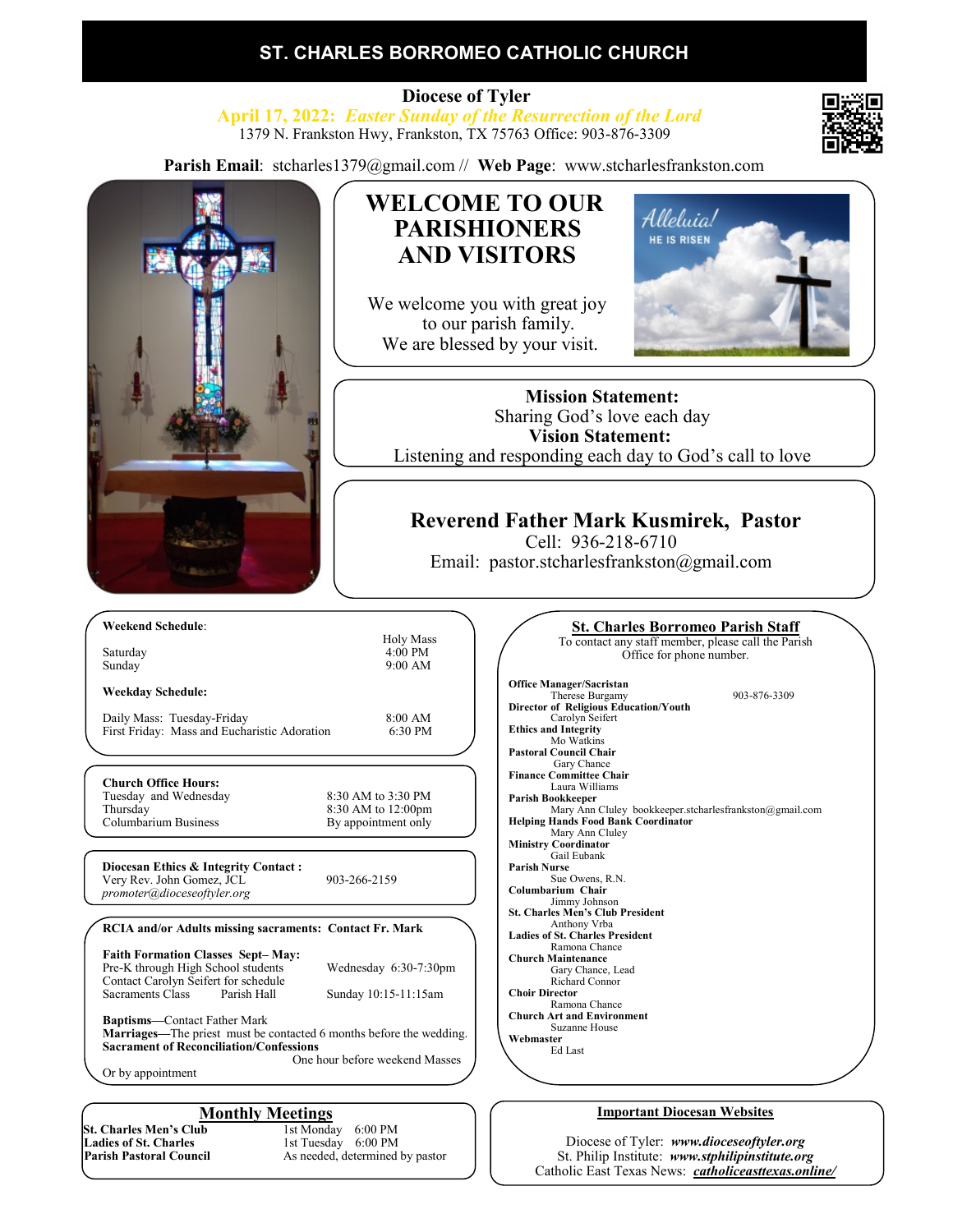### **ST. CHARLES BORROMEO CATHOLIC CHURCH**

 **Diocese of Tyler April 17, 2022:** *Easter Sunday of the Resurrection of the Lord* 1379 N. Frankston Hwy, Frankston, TX 75763 Office: 903-876-3309

**Parish Email**: stcharles1379@gmail.com // **Web Page**: www.stcharlesfrankston.com



Diocese of Tyler: *www.dioceseoftyler.org* St. Philip Institute: *www.stphilipinstitute.org* Catholic East Texas News: *catholiceasttexas.online/*

**St. Charles Men's Club**<br>Ladies of St. Charles **Ladies of St. Charles 1st Tuesday 6:00 PM**<br> **Parish Pastoral Council** As needed, determined

As needed, determined by pastor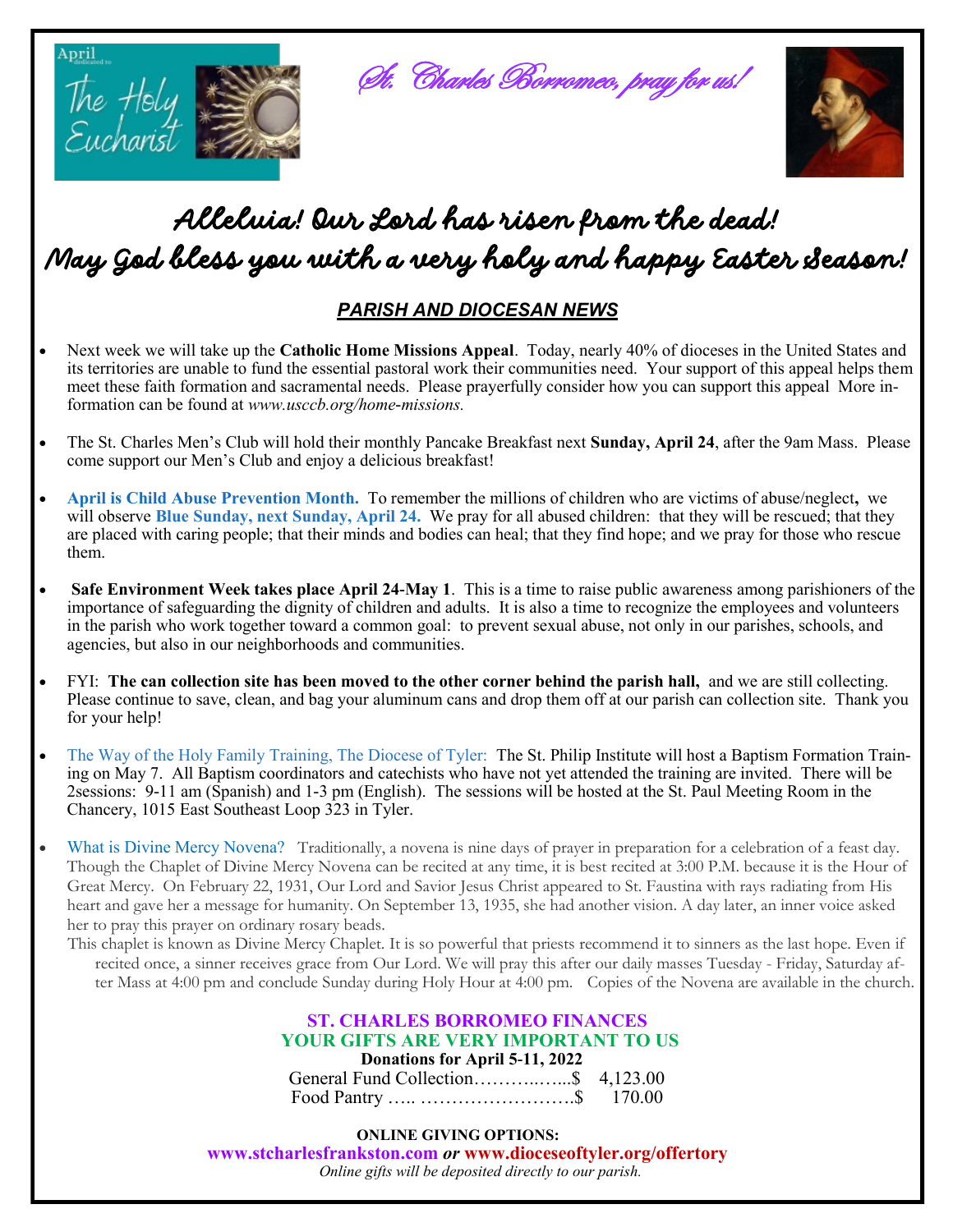

# *Alleluia! Our Lord has risen from the dead! May God bless you with a very holy and happy Easter Season!*

#### *PARISH AND DIOCESAN NEWS*

- Next week we will take up the **Catholic Home Missions Appeal**. Today, nearly 40% of dioceses in the United States and its territories are unable to fund the essential pastoral work their communities need. Your support of this appeal helps them meet these faith formation and sacramental needs. Please prayerfully consider how you can support this appeal More information can be found at *www.usccb.org/home-missions.*
- The St. Charles Men's Club will hold their monthly Pancake Breakfast next **Sunday, April 24**, after the 9am Mass. Please come support our Men's Club and enjoy a delicious breakfast!
- **April is Child Abuse Prevention Month.** To remember the millions of children who are victims of abuse/neglect**,** we will observe **Blue Sunday, next Sunday, April 24.** We pray for all abused children: that they will be rescued; that they are placed with caring people; that their minds and bodies can heal; that they find hope; and we pray for those who rescue them.
- **Safe Environment Week takes place April 24-May 1**. This is a time to raise public awareness among parishioners of the importance of safeguarding the dignity of children and adults. It is also a time to recognize the employees and volunteers in the parish who work together toward a common goal: to prevent sexual abuse, not only in our parishes, schools, and agencies, but also in our neighborhoods and communities.
- FYI: **The can collection site has been moved to the other corner behind the parish hall,** and we are still collecting. Please continue to save, clean, and bag your aluminum cans and drop them off at our parish can collection site. Thank you for your help!
- The Way of the Holy Family Training, The Diocese of Tyler: The St. Philip Institute will host a Baptism Formation Training on May 7. All Baptism coordinators and catechists who have not yet attended the training are invited. There will be 2sessions: 9-11 am (Spanish) and 1-3 pm (English). The sessions will be hosted at the St. Paul Meeting Room in the Chancery, 1015 East Southeast Loop 323 in Tyler.
- What is Divine Mercy Novena? Traditionally, a novena is nine days of prayer in preparation for a celebration of a feast day. Though the Chaplet of Divine Mercy Novena can be recited at any time, it is best recited at 3:00 P.M. because it is the Hour of Great Mercy. On February 22, 1931, Our Lord and Savior Jesus Christ appeared to St. Faustina with rays radiating from His heart and gave her a message for humanity. On September 13, 1935, she had another vision. A day later, an inner voice asked her to pray this prayer on ordinary rosary beads.
	- This chaplet is known as Divine Mercy Chaplet. It is so powerful that priests recommend it to sinners as the last hope. Even if recited once, a sinner receives grace from Our Lord. We will pray this after our daily masses Tuesday - Friday, Saturday after Mass at 4:00 pm and conclude Sunday during Holy Hour at 4:00 pm. Copies of the Novena are available in the church.

#### **ST. CHARLES BORROMEO FINANCES YOUR GIFTS ARE VERY IMPORTANT TO US Donations for April 5-11, 2022** General Fund Collection………..…...\$ 4,123.00

 **ONLINE GIVING OPTIONS: www.stcharlesfrankston.com** *or* **www.dioceseoftyler.org/offertory** *Online gifts will be deposited directly to our parish.*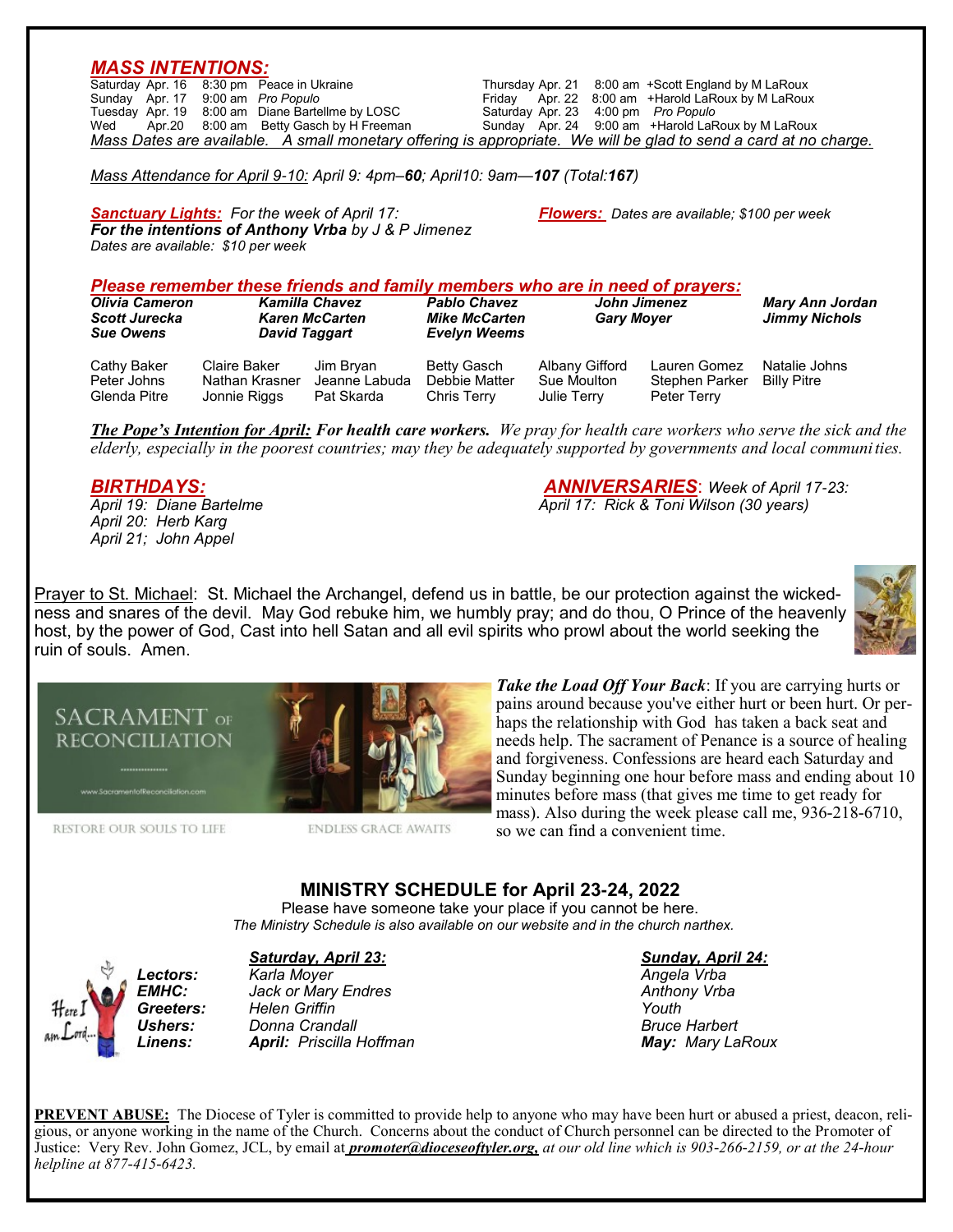#### *MASS INTENTIONS:*

Thursday Apr. 21 8:00 am +Scott England by M LaRoux<br>Friday Apr. 22 8:00 am +Harold LaRoux by M LaRoux Saturday Apr. 16 8:30 pm Peace in Ukraine **Franciscus** Thursday<br>
Sunday Apr. 17 9:00 am *Pro Populo* Friday Tuesday Apr. 19 8:00 am Diane Bartellme by LOSC<br>Wed Apr. 20 8:00 am Betty Gasch by H Freeman Saturday Apr. 23 4:00 pm Pro Populo<br>Sunday Apr. 24 9:00 am +Harold LaRoux by M LaRoux *Mass Dates are available. A small monetary offering is appropriate. We will be glad to send a card at no charge.*

*Mass Attendance for April 9-10: April 9: 4pm–60; April10: 9am—107 (Total:167)*

*Sanctuary Lights: For the week of April 17: Flowers: Dates are available; \$100 per week For the intentions of Anthony Vrba by J & P Jimenez Dates are available: \$10 per week*

#### *Please remember these friends and family members who are in need of prayers:*

| <b>Olivia Cameron</b><br><b>Scott Jurecka</b><br><b>Sue Owens</b> | <b>Kamilla Chavez</b><br><b>Karen McCarten</b><br>David Taggart |                                          | <b>Pablo Chavez</b><br><b>Mike McCarten</b><br><b>Evelyn Weems</b> | John Jimenez<br><b>Gary Moyer</b>                   |                                               | <b>Mary Ann Jordan</b><br><b>Jimmy Nichols</b> |
|-------------------------------------------------------------------|-----------------------------------------------------------------|------------------------------------------|--------------------------------------------------------------------|-----------------------------------------------------|-----------------------------------------------|------------------------------------------------|
| Cathy Baker<br>Peter Johns<br>Glenda Pitre                        | Claire Baker<br>Nathan Krasner<br>Jonnie Riggs                  | Jim Bryan<br>Jeanne Labuda<br>Pat Skarda | Betty Gasch<br>Debbie Matter<br>Chris Terry                        | Albany Gifford<br>Sue Moulton<br><b>Julie Terry</b> | Lauren Gomez<br>Stephen Parker<br>Peter Terry | Natalie Johns<br><b>Billy Pitre</b>            |

*The Pope's Intention for April: For health care workers. We pray for health care workers who serve the sick and the elderly, especially in the poorest countries; may they be adequately supported by governments and local communities.* 

*April 20: Herb Karg April 21; John Appel* 

*BIRTHDAYS: ANNIVERSARIES*: *Week of April 17-23: April 19: Diane Bartelme April 17: Rick & Toni Wilson (30 years)*

Prayer to St. Michael: St. Michael the Archangel, defend us in battle, be our protection against the wickedness and snares of the devil. May God rebuke him, we humbly pray; and do thou, O Prince of the heavenly host, by the power of God, Cast into hell Satan and all evil spirits who prowl about the world seeking the ruin of souls. Amen.





RESTORE OUR SOULS TO LIFE

**ENDLESS GRACE AWAITS** 

*Take the Load Off Your Back*: If you are carrying hurts or pains around because you've either hurt or been hurt. Or perhaps the relationship with God has taken a back seat and needs help. The sacrament of Penance is a source of healing and forgiveness. Confessions are heard each Saturday and Sunday beginning one hour before mass and ending about 10 minutes before mass (that gives me time to get ready for mass). Also during the week please call me, 936-218-6710, so we can find a convenient time.

**MINISTRY SCHEDULE for April 23-24, 2022**

Please have someone take your place if you cannot be here.  *The Ministry Schedule is also available on our website and in the church narthex.*

#### *Saturday, April 23: Sunday, April 24:*



*Lectors: Karla Moyer Angela Vrba EMHC: Jack or Mary Endres Anthony Vrba* **Greeters:** Helen Griffin *Ushers: Donna Crandall Bruce Harbert Linens: April: Priscilla Hoffman May: Mary LaRoux*

**PREVENT ABUSE:** The Diocese of Tyler is committed to provide help to anyone who may have been hurt or abused a priest, deacon, religious, or anyone working in the name of the Church. Concerns about the conduct of Church personnel can be directed to the Promoter of Justice: Very Rev. John Gomez, JCL, by email at *promoter@dioceseoftyler.org, at our old line which is 903-266-2159, or at the 24-hour helpline at 877-415-6423.*